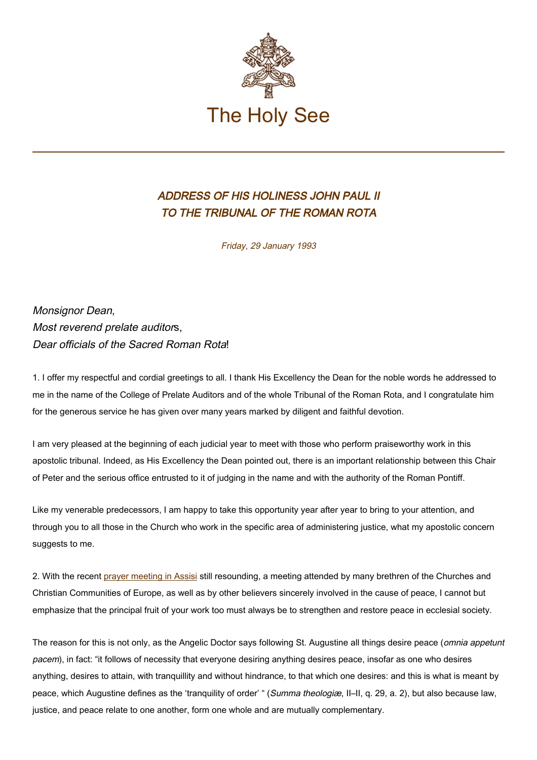

## ADDRESS OF HIS HOLINESS JOHN PAUL II TO THE TRIBUNAL OF THE ROMAN ROTA

Friday, 29 January 1993

Monsignor Dean, Most reverend prelate auditors. Dear officials of the Sacred Roman Rota!

1. I offer my respectful and cordial greetings to all. I thank His Excellency the Dean for the noble words he addressed to me in the name of the College of Prelate Auditors and of the whole Tribunal of the Roman Rota, and I congratulate him for the generous service he has given over many years marked by diligent and faithful devotion.

I am very pleased at the beginning of each judicial year to meet with those who perform praiseworthy work in this apostolic tribunal. Indeed, as His Excellency the Dean pointed out, there is an important relationship between this Chair of Peter and the serious office entrusted to it of judging in the name and with the authority of the Roman Pontiff.

Like my venerable predecessors, I am happy to take this opportunity year after year to bring to your attention, and through you to all those in the Church who work in the specific area of administering justice, what my apostolic concern suggests to me.

2. With the recent [prayer meeting in Assisi](https://www.vatican.va/content/john-paul-ii/en/speeches/travels/sub_index1993/trav_assisi.html) still resounding, a meeting attended by many brethren of the Churches and Christian Communities of Europe, as well as by other believers sincerely involved in the cause of peace, I cannot but emphasize that the principal fruit of your work too must always be to strengthen and restore peace in ecclesial society.

The reason for this is not only, as the Angelic Doctor says following St. Augustine all things desire peace (*omnia appetunt* pacem), in fact: "it follows of necessity that everyone desiring anything desires peace, insofar as one who desires anything, desires to attain, with tranquillity and without hindrance, to that which one desires: and this is what is meant by peace, which Augustine defines as the 'tranquility of order' " (Summa theologiæ, II-II, q. 29, a. 2), but also because law, justice, and peace relate to one another, form one whole and are mutually complementary.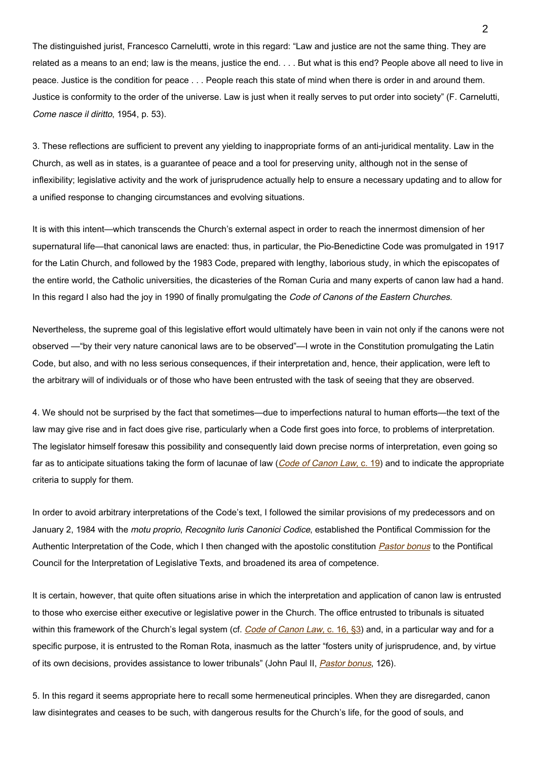The distinguished jurist, Francesco Carnelutti, wrote in this regard: "Law and justice are not the same thing. They are related as a means to an end; law is the means, justice the end. . . . But what is this end? People above all need to live in peace. Justice is the condition for peace . . . People reach this state of mind when there is order in and around them. Justice is conformity to the order of the universe. Law is just when it really serves to put order into society" (F. Carnelutti, Come nasce il diritto, 1954, p. 53).

3. These reflections are sufficient to prevent any yielding to inappropriate forms of an anti-juridical mentality. Law in the Church, as well as in states, is a guarantee of peace and a tool for preserving unity, although not in the sense of inflexibility; legislative activity and the work of jurisprudence actually help to ensure a necessary updating and to allow for a unified response to changing circumstances and evolving situations.

It is with this intent—which transcends the Church's external aspect in order to reach the innermost dimension of her supernatural life—that canonical laws are enacted: thus, in particular, the Pio-Benedictine Code was promulgated in 1917 for the Latin Church, and followed by the 1983 Code, prepared with lengthy, laborious study, in which the episcopates of the entire world, the Catholic universities, the dicasteries of the Roman Curia and many experts of canon law had a hand. In this regard I also had the joy in 1990 of finally promulgating the Code of Canons of the Eastern Churches.

Nevertheless, the supreme goal of this legislative effort would ultimately have been in vain not only if the canons were not observed —"by their very nature canonical laws are to be observed"—I wrote in the Constitution promulgating the Latin Code, but also, and with no less serious consequences, if their interpretation and, hence, their application, were left to the arbitrary will of individuals or of those who have been entrusted with the task of seeing that they are observed.

4. We should not be surprised by the fact that sometimes—due to imperfections natural to human efforts—the text of the law may give rise and in fact does give rise, particularly when a Code first goes into force, to problems of interpretation. The legislator himself foresaw this possibility and consequently laid down precise norms of interpretation, even going so far as to anticipate situations taking the form of lacunae of law (*Code of Canon Law*, [c. 19](http://www.vatican.va/archive/ENG1104/__P3.HTM)) and to indicate the appropriate criteria to supply for them.

In order to avoid arbitrary interpretations of the Code's text, I followed the similar provisions of my predecessors and on January 2, 1984 with the motu proprio, Recognito Iuris Canonici Codice, established the Pontifical Commission for the Authentic Interpretation of the Code, which I then changed with the apostolic constitution **[Pastor bonus](https://www.vatican.va/content/john-paul-ii/en/speeches/apost_constitutions/documents/hf_jp-ii_apc_19880628_pastor-bonus.html)** to the Pontifical Council for the Interpretation of Legislative Texts, and broadened its area of competence.

It is certain, however, that quite often situations arise in which the interpretation and application of canon law is entrusted to those who exercise either executive or legislative power in the Church. The office entrusted to tribunals is situated within this framework of the Church's legal system (cf. Code of Canon Law, [c. 16, §3\)](http://www.vatican.va/archive/ENG1104/__P3.HTM) and, in a particular way and for a specific purpose, it is entrusted to the Roman Rota, inasmuch as the latter "fosters unity of jurisprudence, and, by virtue of its own decisions, provides assistance to lower tribunals" (John Paul II, *[Pastor bonus](https://www.vatican.va/content/john-paul-ii/en/speeches/apost_constitutions/documents/hf_jp-ii_apc_19880628_pastor-bonus.html)*, 126).

5. In this regard it seems appropriate here to recall some hermeneutical principles. When they are disregarded, canon law disintegrates and ceases to be such, with dangerous results for the Church's life, for the good of souls, and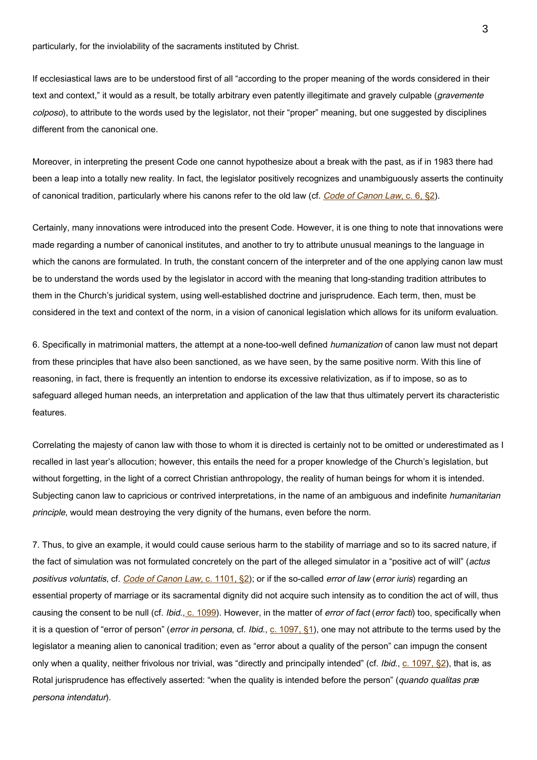particularly, for the inviolability of the sacraments instituted by Christ.

If ecclesiastical laws are to be understood first of all "according to the proper meaning of the words considered in their text and context," it would as a result, be totally arbitrary even patently illegitimate and gravely culpable (*gravemente* colposo), to attribute to the words used by the legislator, not their "proper" meaning, but one suggested by disciplines different from the canonical one.

Moreover, in interpreting the present Code one cannot hypothesize about a break with the past, as if in 1983 there had been a leap into a totally new reality. In fact, the legislator positively recognizes and unambiguously asserts the continuity of canonical tradition, particularly where his canons refer to the old law (cf. Code of Canon Law[, c. 6, §2\)](http://www.vatican.va/archive/ENG1104/__P2.HTM).

Certainly, many innovations were introduced into the present Code. However, it is one thing to note that innovations were made regarding a number of canonical institutes, and another to try to attribute unusual meanings to the language in which the canons are formulated. In truth, the constant concern of the interpreter and of the one applying canon law must be to understand the words used by the legislator in accord with the meaning that long-standing tradition attributes to them in the Church's juridical system, using well-established doctrine and jurisprudence. Each term, then, must be considered in the text and context of the norm, in a vision of canonical legislation which allows for its uniform evaluation.

6. Specifically in matrimonial matters, the attempt at a none-too-well defined humanization of canon law must not depart from these principles that have also been sanctioned, as we have seen, by the same positive norm. With this line of reasoning, in fact, there is frequently an intention to endorse its excessive relativization, as if to impose, so as to safeguard alleged human needs, an interpretation and application of the law that thus ultimately pervert its characteristic features.

Correlating the majesty of canon law with those to whom it is directed is certainly not to be omitted or underestimated as I recalled in last year's allocution; however, this entails the need for a proper knowledge of the Church's legislation, but without forgetting, in the light of a correct Christian anthropology, the reality of human beings for whom it is intended. Subjecting canon law to capricious or contrived interpretations, in the name of an ambiguous and indefinite humanitarian principle, would mean destroying the very dignity of the humans, even before the norm.

7. Thus, to give an example, it would could cause serious harm to the stability of marriage and so to its sacred nature, if the fact of simulation was not formulated concretely on the part of the alleged simulator in a "positive act of will" (actus positivus voluntatis, cf. Code of Canon Law[, c. 1101, §2\)](http://www.vatican.va/archive/ENG1104/__P3Z.HTM); or if the so-called error of law (error iuris) regarding an essential property of marriage or its sacramental dignity did not acquire such intensity as to condition the act of will, thus causing the consent to be null (cf. Ibid., [c. 1099\)](http://www.vatican.va/archive/ENG1104/__P3Z.HTM). However, in the matter of *error of fact* (*error facti*) too, specifically when it is a question of "error of person" (*error in persona*, cf. *Ibid.*,  $\underline{c}$ . 1097,  $\S$ 1), one may not attribute to the terms used by the legislator a meaning alien to canonical tradition; even as "error about a quality of the person" can impugn the consent only when a quality, neither frivolous nor trivial, was "directly and principally intended" (cf. Ibid., [c. 1097, §2](http://www.vatican.va/archive/ENG1104/__P3Z.HTM)), that is, as Rotal jurisprudence has effectively asserted: "when the quality is intended before the person" (quando qualitas præ persona intendatur).